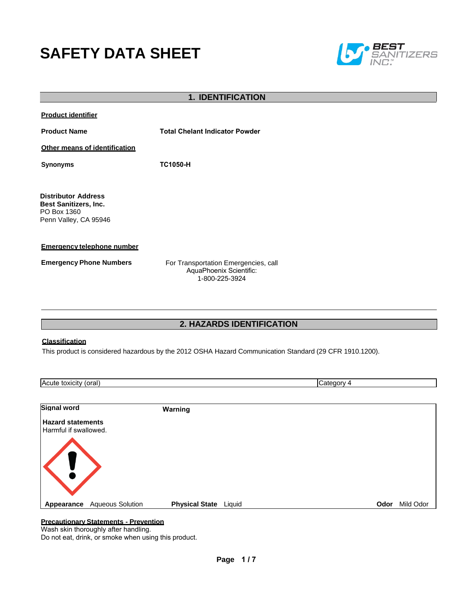# **SAFETY DATA SHEET**



| <b>1. IDENTIFICATION</b>                                                                           |                                                                                   |  |
|----------------------------------------------------------------------------------------------------|-----------------------------------------------------------------------------------|--|
| <b>Product identifier</b>                                                                          |                                                                                   |  |
| <b>Product Name</b>                                                                                | <b>Total Chelant Indicator Powder</b>                                             |  |
| Other means of identification                                                                      |                                                                                   |  |
| <b>Synonyms</b>                                                                                    | <b>TC1050-H</b>                                                                   |  |
|                                                                                                    |                                                                                   |  |
| <b>Distributor Address</b><br><b>Best Sanitizers, Inc.</b><br>PO Box 1360<br>Penn Valley, CA 95946 |                                                                                   |  |
| <b>Emergency telephone number</b>                                                                  |                                                                                   |  |
| <b>Emergency Phone Numbers</b>                                                                     | For Transportation Emergencies, call<br>AquaPhoenix Scientific:<br>1-800-225-3924 |  |
|                                                                                                    |                                                                                   |  |
|                                                                                                    |                                                                                   |  |
|                                                                                                    | <b>2. HAZARDS IDENTIFICATION</b>                                                  |  |

#### **Classification**

This product is considered hazardous by the 2012 OSHA Hazard Communication Standard (29 CFR 1910.1200).

| Acute toxicity (oral)                             |                         |                       |        | Category 4 |           |
|---------------------------------------------------|-------------------------|-----------------------|--------|------------|-----------|
|                                                   |                         |                       |        |            |           |
| <b>Signal word</b>                                |                         | Warning               |        |            |           |
| <b>Hazard statements</b><br>Harmful if swallowed. |                         |                       |        |            |           |
|                                                   |                         |                       |        |            |           |
| Appearance                                        | <b>Aqueous Solution</b> | <b>Physical State</b> | Liquid | Odor       | Mild Odor |
|                                                   |                         |                       |        |            |           |

# **Precautionary Statements - Prevention**

Wash skin thoroughly after handling.

Do not eat, drink, or smoke when using this product.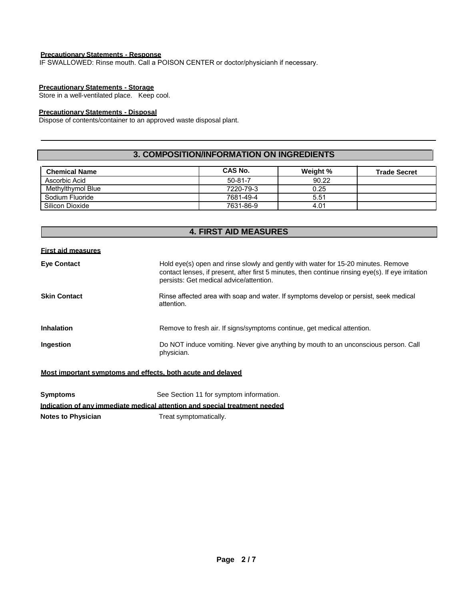#### **Precautionary Statements - Response**

IF SWALLOWED: Rinse mouth. Call a POISON CENTER or doctor/physicianh if necessary.

#### **Precautionary Statements - Storage**

Store in a well-ventilated place. Keep cool.

# **Precautionary Statements - Disposal**

Dispose of contents/container to an approved waste disposal plant.

#### **3. COMPOSITION/INFORMATION ON INGREDIENTS**

| <b>Chemical Name</b> | CAS No.       | Weight % | <b>Trade Secret</b> |
|----------------------|---------------|----------|---------------------|
| Ascorbic Acid        | $50 - 81 - 7$ | 90.22    |                     |
| Methylthymol Blue    | 7220-79-3     | 0.25     |                     |
| Sodium Fluoride      | 7681-49-4     | 5.51     |                     |
| Silicon Dioxide      | 7631-86-9     | 4.01     |                     |

# **4. FIRST AID MEASURES**

#### **First aid measures**

| <b>Eye Contact</b>  | Hold eye(s) open and rinse slowly and gently with water for 15-20 minutes. Remove<br>contact lenses, if present, after first 5 minutes, then continue rinsing eye(s). If eye irritation<br>persists: Get medical advice/attention. |
|---------------------|------------------------------------------------------------------------------------------------------------------------------------------------------------------------------------------------------------------------------------|
| <b>Skin Contact</b> | Rinse affected area with soap and water. If symptoms develop or persist, seek medical<br>attention.                                                                                                                                |
| <b>Inhalation</b>   | Remove to fresh air. If signs/symptoms continue, get medical attention.                                                                                                                                                            |
| <b>Ingestion</b>    | Do NOT induce vomiting. Never give anything by mouth to an unconscious person. Call<br>physician.                                                                                                                                  |

#### **Most important symptoms and effects, both acute and delayed**

| Symptoms                  | See Section 11 for symptom information.                                    |
|---------------------------|----------------------------------------------------------------------------|
|                           | Indication of any immediate medical attention and special treatment needed |
| <b>Notes to Physician</b> | Treat symptomatically.                                                     |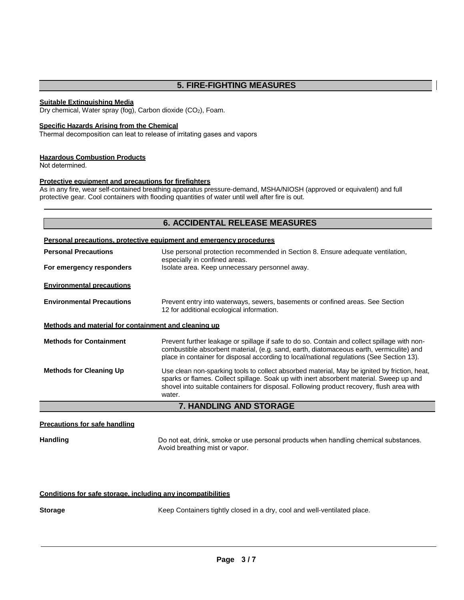# **5. FIRE-FIGHTING MEASURES**

#### **Suitable Extinguishing Media**

Dry chemical, Water spray (fog), Carbon dioxide (CO<sub>2</sub>), Foam.

#### **Specific Hazards Arising from the Chemical**

Thermal decomposition can leat to release of irritating gases and vapors

#### **Hazardous Combustion Products**

Not determined.

#### **Protective equipment and precautions for firefighters**

As in any fire, wear self-contained breathing apparatus pressure-demand, MSHA/NIOSH (approved or equivalent) and full protective gear. Cool containers with flooding quantities of water until well after fire is out.

# **6. ACCIDENTAL RELEASE MEASURES Personal precautions, protective equipment and emergency procedures Personal Precautions For emergency responders** Use personal protection recommended in Section 8. Ensure adequate ventilation, especially in confined areas. Isolate area. Keep unnecessary personnel away. **Environmental precautions**

**Environmental Precautions** Prevent entry into waterways, sewers, basements or confined areas. See Section 12 for additional ecological information.

#### **Methods and material for containment and cleaning up**

| <b>Methods for Containment</b> | Prevent further leakage or spillage if safe to do so. Contain and collect spillage with non-<br>combustible absorbent material, (e.g. sand, earth, diatomaceous earth, vermiculite) and<br>place in container for disposal according to local/national regulations (See Section 13). |
|--------------------------------|--------------------------------------------------------------------------------------------------------------------------------------------------------------------------------------------------------------------------------------------------------------------------------------|
| <b>Methods for Cleaning Up</b> | Use clean non-sparking tools to collect absorbed material, May be ignited by friction, heat,<br>sparks or flames. Collect spillage. Soak up with inert absorbent material. Sweep up and                                                                                              |

#### sparks or flames. Collect spillage. Soak up with inert absorbent material. Sweep up and shovel into suitable containers for disposal. Following product recovery, flush area with water.

#### **7. HANDLING AND STORAGE**

#### **Precautions for safe handling**

Handling **Handling Example 20** Do not eat, drink, smoke or use personal products when handling chemical substances. Avoid breathing mist or vapor.

#### **Conditions for safe storage, including any incompatibilities**

**Storage** Keep Containers tightly closed in a dry, cool and well-ventilated place.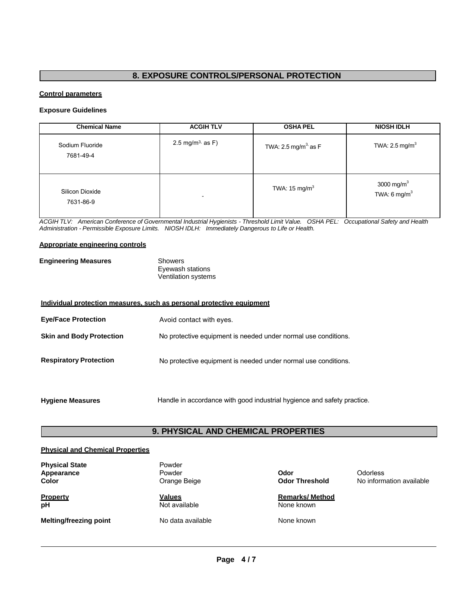# **8. EXPOSURE CONTROLS/PERSONAL PROTECTION**

#### **Control parameters**

#### **Exposure Guidelines**

| <b>Chemical Name</b>         | <b>ACGIH TLV</b>             | <b>OSHA PEL</b>                | <b>NIOSH IDLH</b>                        |
|------------------------------|------------------------------|--------------------------------|------------------------------------------|
| Sodium Fluoride<br>7681-49-4 | 2.5 mg/m <sup>3,</sup> as F) | TWA: $2.5 \text{ mg/m}^3$ as F | TWA: $2.5 \text{ mg/m}^3$                |
| Silicon Dioxide<br>7631-86-9 | $\overline{\phantom{a}}$     | TWA: $15 \text{ mg/m}^3$       | 3000 mg/m $3$<br>TWA: $6 \text{ mg/m}^3$ |

*ACGIH TLV: American Conference of Governmental Industrial Hygienists - Threshold Limit Value. OSHA PEL: Occupational Safety and Health Administration - Permissible Exposure Limits. NIOSH IDLH: Immediately Dangerous to Life or Health.*

#### **Appropriate engineering controls**

| <b>Engineering Measures</b> | Showers                    |  |
|-----------------------------|----------------------------|--|
|                             | Eyewash stations           |  |
|                             | <b>Ventilation systems</b> |  |

| Individual protection measures, such as personal protective equipment |                                                                |  |  |
|-----------------------------------------------------------------------|----------------------------------------------------------------|--|--|
| <b>Eye/Face Protection</b>                                            | Avoid contact with eyes.                                       |  |  |
| <b>Skin and Body Protection</b>                                       | No protective equipment is needed under normal use conditions. |  |  |
| <b>Respiratory Protection</b>                                         | No protective equipment is needed under normal use conditions. |  |  |
|                                                                       |                                                                |  |  |

Hygiene Measures **Handle** in accordance with good industrial hygience and safety practice.

# **9. PHYSICAL AND CHEMICAL PROPERTIES**

#### **Physical and Chemical Properties**

| <b>Physical State</b><br>Appearance<br>Color | Powder<br>Powder<br>Orange Beige | Odor<br><b>Odor Threshold</b>        | Odorless<br>No information available |
|----------------------------------------------|----------------------------------|--------------------------------------|--------------------------------------|
| Property<br>рH                               | <b>Values</b><br>Not available   | <b>Remarks/ Method</b><br>None known |                                      |
| <b>Melting/freezing point</b>                | No data available                | None known                           |                                      |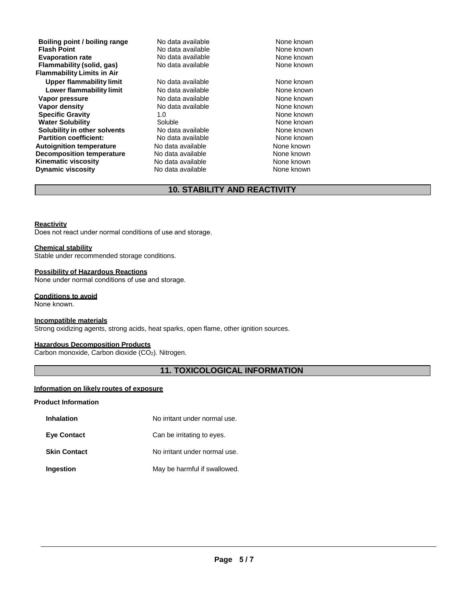**Boiling point / boiling range** Modata available **None known**<br> **Riash Point Conduct Accord Modata available** Mone known **Flash Point Nonel Community Community Community Community Community Community Community Community Community Community Community Community Community Community Community Community Community Community Community Community C Evaporation rate and the Secure Cone Adventurery** None known<br> **Flammability (solid. gas)** No data available **Cone Advisory None known Flammability (solid, gas) Flammability Limits in Air Upper flammability limit** No data available None known **Lower flammability limit** No data available None known **Vapor pressure No data available and the None known**<br> **Vapor density No data available None known**<br>
None known **Vapor density Specific Gravity 1.0** 1.0 None known<br> **Water Solubility** Coluble Coluble Colubre 2.0 None known **Water Solubility Communisty Soluble Mater Solubility Communisty Communisty Communisty Communisty Communisty Co<br>
Solubility in other solvents** Communisty None known None known **Solubility in other solvents** No data available **None known**<br> **Partition coefficient:** No data available None known **Partition coefficient:** No data available **None known**<br> **Autoignition temperature** No data available None known None known **Autoignition temperature No data available Mone known**<br> **Decomposition temperature** No data available **None known Decomposition temperature Kinematic viscosity No data available** None known **Dynamic viscosity No data available None known** 

No data available No data available No data available

**10. STABILITY AND REACTIVITY**

#### **Reactivity**

Does not react under normal conditions of use and storage.

#### **Chemical stability**

Stable under recommended storage conditions.

#### **Possibility of Hazardous Reactions**

None under normal conditions of use and storage.

#### **Conditions to avoid**

None known.

#### **Incompatible materials**

Strong oxidizing agents, strong acids, heat sparks, open flame, other ignition sources.

#### **Hazardous Decomposition Products**

Carbon monoxide, Carbon dioxide (CO2). Nitrogen.

#### **11. TOXICOLOGICAL INFORMATION**

#### **Information on likely routes of exposure**

#### **Product Information**

| <b>Inhalation</b>   | No irritant under normal use. |
|---------------------|-------------------------------|
| <b>Eye Contact</b>  | Can be irritating to eyes.    |
| <b>Skin Contact</b> | No irritant under normal use. |
| Ingestion           | May be harmful if swallowed.  |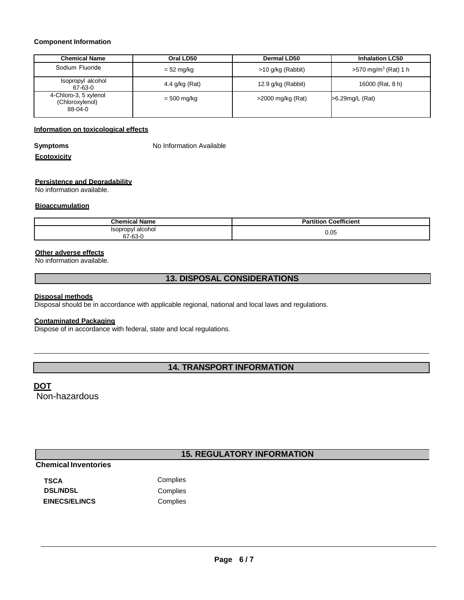#### **Component Information**

| <b>Chemical Name</b>                                | Oral LD50      | Dermal LD50          | <b>Inhalation LC50</b>             |
|-----------------------------------------------------|----------------|----------------------|------------------------------------|
| Sodium Fluoride                                     | $= 52$ mg/kg   | $>10$ g/kg (Rabbit)  | $>570$ mg/m <sup>3</sup> (Rat) 1 h |
| Isopropyl alcohol<br>67-63-0                        | 4.4 g/kg (Rat) | 12.9 $g/kg$ (Rabbit) | 16000 (Rat, 8 h)                   |
| 4-Chloro-3, 5 xylenol<br>(Chloroxylenol)<br>88-04-0 | $= 500$ mg/kg  | $>$ 2000 mg/kg (Rat) | >6.29mg/L (Rat)                    |

#### **Information on toxicological effects**

**Symptoms** No Information Available

#### **Ecotoxicity**

#### **Persistence and Degradability**

No information available.

#### **Bioaccumulation**

| hemic<br>Name<br>idliit        | Coefficient |
|--------------------------------|-------------|
| Isopropyl alcohol<br>$67-63-1$ | 0.05        |

#### **Other adverse effects**

No information available.

### **13. DISPOSAL CONSIDERATIONS**

#### **Disposal methods**

Disposal should be in accordance with applicable regional, national and local laws and regulations.

#### **Contaminated Packaging**

Dispose of in accordance with federal, state and local regulations.

### **14. TRANSPORT INFORMATION**

### **DOT**

Non-hazardous

# **15. REGULATORY INFORMATION**

# **Chemical Inventories**

| <b>TSCA</b>          | Complies |
|----------------------|----------|
| <b>DSL/NDSL</b>      | Complies |
| <b>EINECS/ELINCS</b> | Complies |